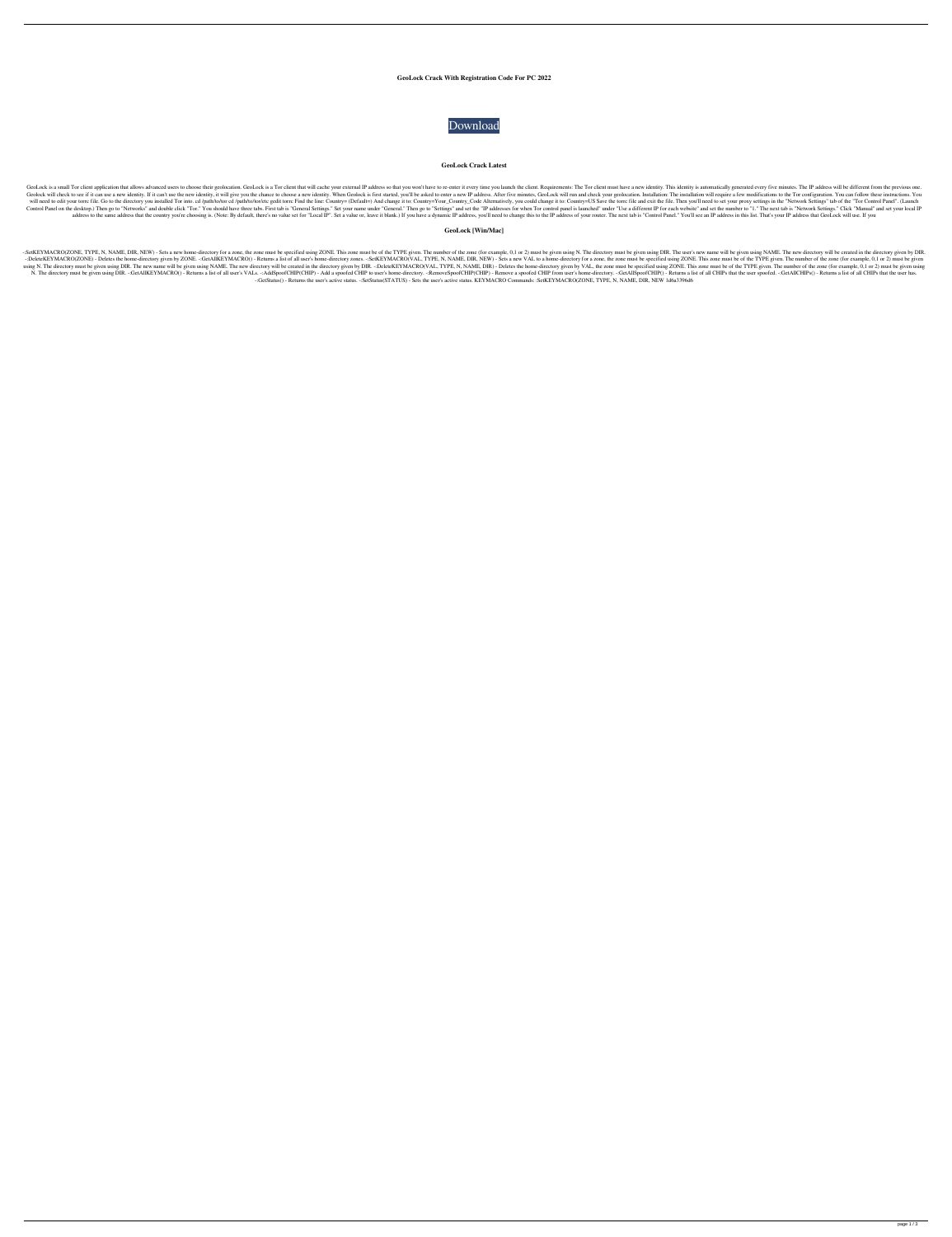# **GeoLock Crack With Registration Code For PC 2022**



### **GeoLock Crack Latest**

GeoLock is a small Tor client application that allows advanced users to choose their geolocation. GeoLock is a Tor client that will cache your external IP address so that you won't have to re-enter it every time you launch Geolock will check to see if it can use a new identity. If it can't use the new identity, it will give you the chance to choose a new identity. When Geolock is first started, you'll be asked to enter a new IP address. Afte will need to edit your torrc file. Go to the directory you installed Tor into. cd /path/to/tor cd /path/to/tor cd /path/to/tor/etc gedit torrc Find the line: Country= (Default=) And change it to: Country= Vour\_Country= US Control Panel on the desktop.) Then go to "Networks" and double click "Tor." You should have three tabs. First tab is "General Settings." Set your name under "General." Then go to "Settings" and set the "IP addresses for w address to the same address that the country you're choosing is. (Note: By default, there's no value set for "Local IP". Set a value or, leave it blank.) If you have a dynamic IP address, you'll need to change this to the

-:SetKEYMACRO(ZONE, TYPE, N, NAME, DIR, NEW) - Sets a new home-directory for a zone, the zone must be specified using ZONE. This zone must be of the TYPE given. The number of the zone (for example, 0,1 or 2) must be given -:DeleteKEYMACRO(ZONE) - Deletes the home-directory given by ZONE. -:GetAllKEYMACRO() - Returns a list of all user's home-directory zones. -:SetKEYMACRO(VAL, TYPE, N, NAME, DIR, NEW) - Sets a new VAL to a home-directory fo using N. The directory must be given using DIR. The new name will be given using NAME. The new directory will be created in the directory given by DIR. -:DeleteKEYMACRO(VAL, TYPE, N, NAME, DIR) - Deletes the home-directory N. The directory must be given using DIR. -:GetAllKEYMACRO() - Returns a list of all user's VALs. -:AddSpoofCHIP(CHIP) - Add a spoofed CHIP to user's home-directory. -:RemoveSpoofCHIP(CHIP) - Remove a spoofed CHIP from use -:GetStatus() - Returns the user's active status. -:SetStatus(STATUS) - Sets the user's active status. KEYMACRO Commands: :SetKEYMACRO(ZONE, TYPE, N, NAME, DIR, NEW 1d6a3396d6

# **GeoLock [Win/Mac]**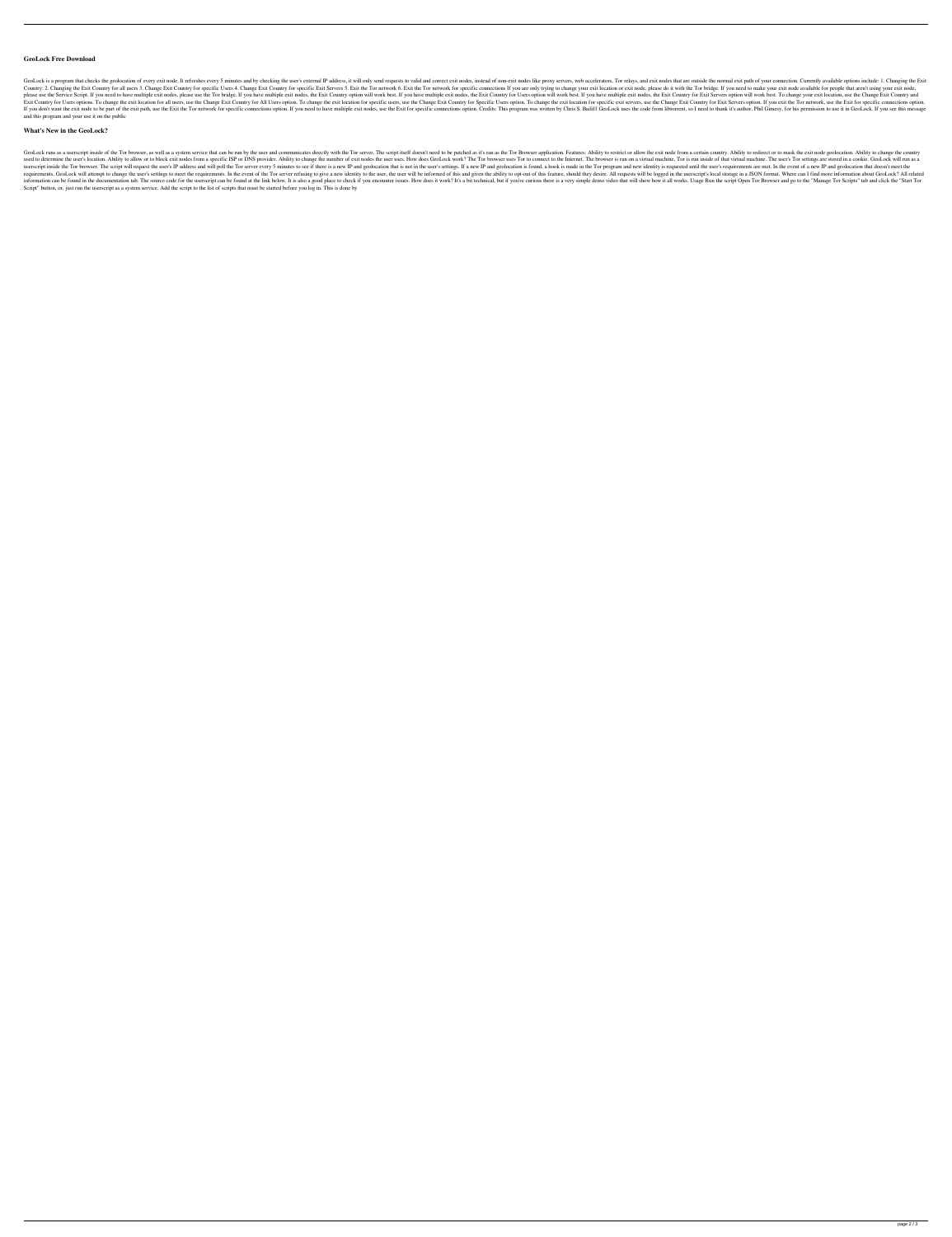### **GeoLock Free Download**

GeoLock is a program that checks the geolocation of every exit node. It refreshes every 5 minutes and by checking the user's external IP address, it will only send requests to valid and correct exit nodes like proxy server Country: 2. Changing the Exit Country for all users 3. Change Exit Country for specific Users 4. Change Exit Country for specific Users 4. Change Exit Country for specific Exit Servers 5. Exit the Tor network 6. Exit the T please use the Service Script. If you need to have multiple exit nodes, please use the Tor bridge. If you have multiple exit nodes, the Exit Country option will work best. If you have multiple exit nodes, the Exit Country Exit Country for Users options. To change the exit location for all users, use the Change Exit Country for All Users option. To change the exit location for specific users, use the Change Exit Country for Specific users, u If you don't want the exit node to be part of the exit path, use the Exit the Tor network for specific connections option. If you need to have multiple exit nodes, use the Exit for specific connections option. Credits: Thi and this program and your use it on the public

### **What's New in the GeoLock?**

GeoLock runs as a userscript inside of the Tor browser, as well as a system service that can be run by the user and communicates directly with the Tor server. The script itself doesn't need to be patched as it's ran as the used to determine the user's location. Ability to allow or to block exit nodes from a specific ISP or DNS provider. Ability to change the number of exit nodes the user uses. How does GeoLock work? The Tor browser is run on userscript inside the Tor browser. The script will request the user's IP address and will poll the Tor server every 5 minutes to see if there is a new IP and geolocation that is not in the user's settings. If a new IP and requirements, GeoLock will attempt to change the user's settings to meet the requirements. In the event of the Tor server refusing to give a new identity to the user, the user will be informed of this and given the ability information can be found in the documentation tab. The source code for the userscript can be found at the link below. It is also a good place to check if you encounter issues. How does it work? It's a bit technical, but if Script" button, or, just run the userscript as a system service. Add the script to the list of scripts that must be started before you log in. This is done by